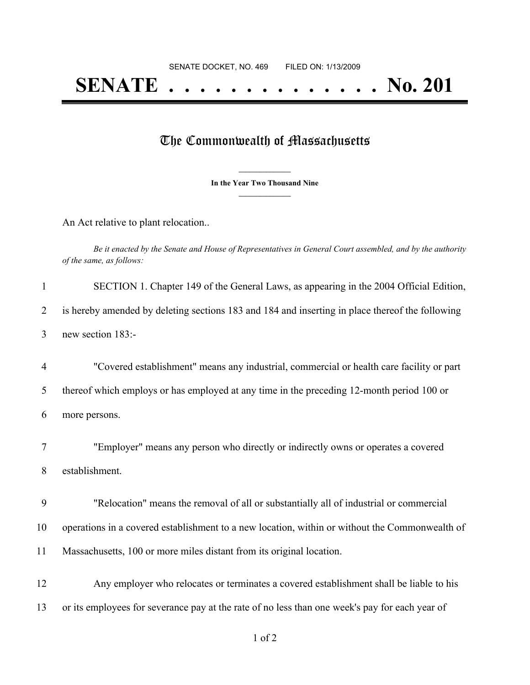## **SENATE . . . . . . . . . . . . . . No. 201**

## The Commonwealth of Massachusetts

**\_\_\_\_\_\_\_\_\_\_\_\_\_\_\_ In the Year Two Thousand Nine \_\_\_\_\_\_\_\_\_\_\_\_\_\_\_**

An Act relative to plant relocation..

Be it enacted by the Senate and House of Representatives in General Court assembled, and by the authority *of the same, as follows:*

| $\mathbf{1}$   | SECTION 1. Chapter 149 of the General Laws, as appearing in the 2004 Official Edition,          |
|----------------|-------------------------------------------------------------------------------------------------|
| $\overline{2}$ | is hereby amended by deleting sections 183 and 184 and inserting in place thereof the following |
| 3              | new section 183:-                                                                               |
| $\overline{4}$ | "Covered establishment" means any industrial, commercial or health care facility or part        |
| 5              | thereof which employs or has employed at any time in the preceding 12-month period 100 or       |
| 6              | more persons.                                                                                   |
| 7              | "Employer" means any person who directly or indirectly owns or operates a covered               |
| 8              | establishment.                                                                                  |
| 9              | "Relocation" means the removal of all or substantially all of industrial or commercial          |
| 10             | operations in a covered establishment to a new location, within or without the Commonwealth of  |
| 11             | Massachusetts, 100 or more miles distant from its original location.                            |
| 12             | Any employer who relocates or terminates a covered establishment shall be liable to his         |
| 13             | or its employees for severance pay at the rate of no less than one week's pay for each year of  |